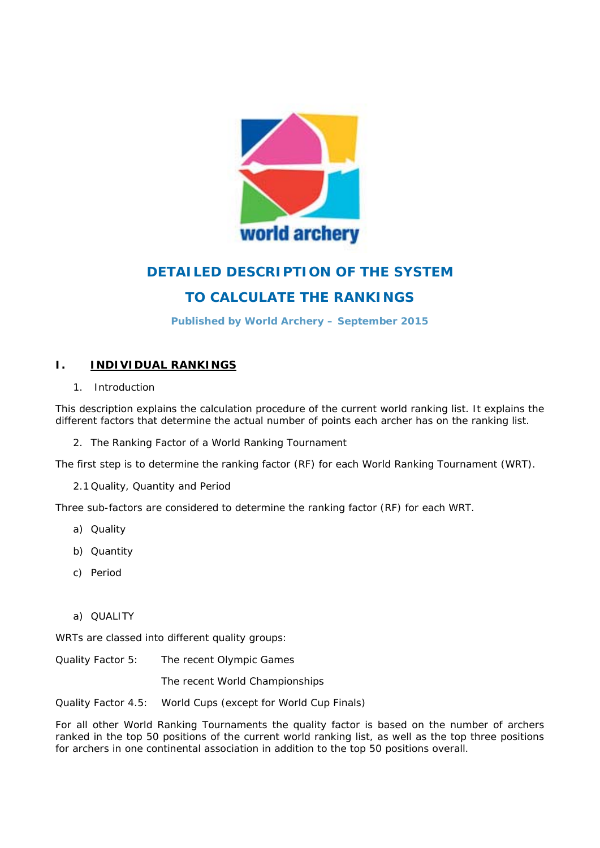

# **DETAILED DESCRIPTION OF THE SYSTEM**

## **TO CALCULATE THE RANKINGS**

**Published by World Archery – September 2015** 

## **I. INDIVIDUAL RANKINGS**

1. Introduction

This description explains the calculation procedure of the current world ranking list. It explains the different factors that determine the actual number of points each archer has on the ranking list.

2. The Ranking Factor of a World Ranking Tournament

The first step is to determine the ranking factor (RF) for each World Ranking Tournament (WRT).

2.1 Quality, Quantity and Period

Three sub-factors are considered to determine the ranking factor (RF) for each WRT.

- a) Quality
- b) Quantity
- c) Period
- a) QUALITY

WRTs are classed into different quality groups:

Quality Factor 5: The recent Olympic Games

The recent World Championships

Quality Factor 4.5: World Cups (except for World Cup Finals)

For all other World Ranking Tournaments the quality factor is based on the number of archers ranked in the top 50 positions of the current world ranking list, as well as the top three positions for archers in one continental association in addition to the top 50 positions overall.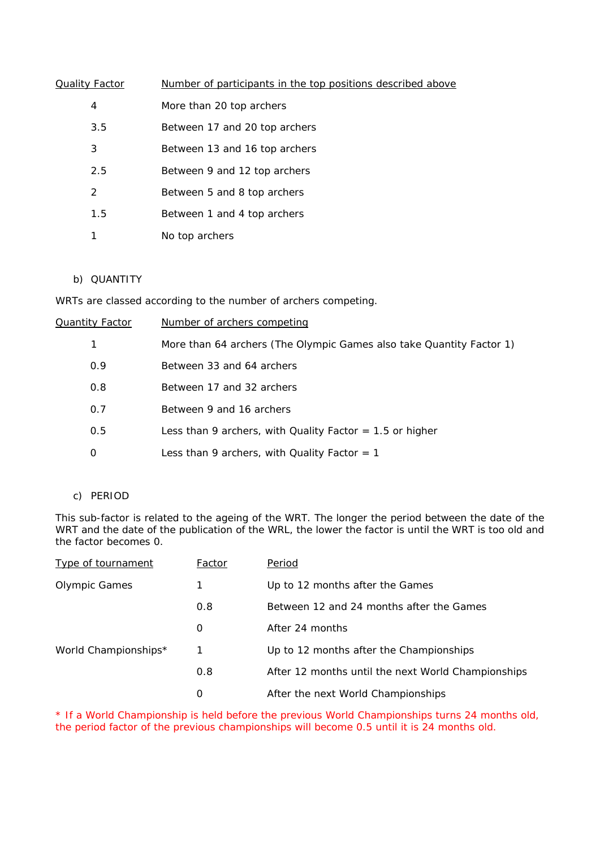| <b>Quality Factor</b> | Number of participants in the top positions described above |
|-----------------------|-------------------------------------------------------------|
| 4                     | More than 20 top archers                                    |
| 3.5                   | Between 17 and 20 top archers                               |
| 3                     | Between 13 and 16 top archers                               |
| 2.5                   | Between 9 and 12 top archers                                |
| 2                     | Between 5 and 8 top archers                                 |
| 1.5                   | Between 1 and 4 top archers                                 |
| 1                     | No top archers                                              |

## b) QUANTITY

WRTs are classed according to the number of archers competing.

| Quantity Factor | Number of archers competing                                          |
|-----------------|----------------------------------------------------------------------|
| 1               | More than 64 archers (The Olympic Games also take Quantity Factor 1) |
| 0.9             | Between 33 and 64 archers                                            |
| 0.8             | Between 17 and 32 archers                                            |
| 0.7             | Between 9 and 16 archers                                             |
| 0.5             | Less than 9 archers, with Quality Factor $=$ 1.5 or higher           |
| 0               | Less than 9 archers, with Quality Factor $= 1$                       |

### c) PERIOD

This sub-factor is related to the ageing of the WRT. The longer the period between the date of the WRT and the date of the publication of the WRL, the lower the factor is until the WRT is too old and the factor becomes 0.

| <b>Type of tournament</b> | Factor | Period                                             |
|---------------------------|--------|----------------------------------------------------|
| <b>Olympic Games</b>      | 1      | Up to 12 months after the Games                    |
|                           | 0.8    | Between 12 and 24 months after the Games           |
|                           | 0      | After 24 months                                    |
| World Championships*      | 1      | Up to 12 months after the Championships            |
|                           | 0.8    | After 12 months until the next World Championships |
|                           | 0      | After the next World Championships                 |

\* If a World Championship is held before the previous World Championships turns 24 months old, the period factor of the previous championships will become 0.5 until it is 24 months old.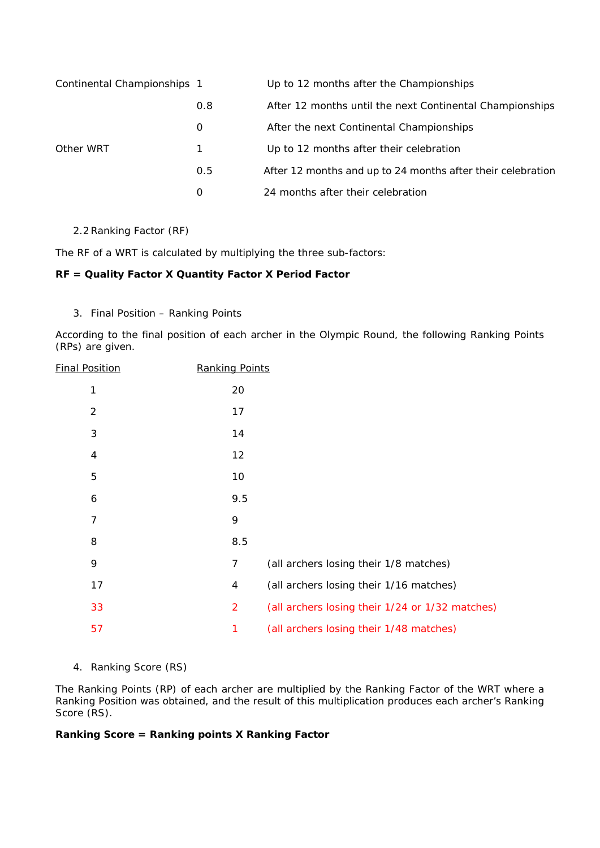| Continental Championships 1 |     | Up to 12 months after the Championships                     |
|-----------------------------|-----|-------------------------------------------------------------|
|                             | 0.8 | After 12 months until the next Continental Championships    |
|                             | 0   | After the next Continental Championships                    |
| Other WRT                   |     | Up to 12 months after their celebration                     |
|                             | 0.5 | After 12 months and up to 24 months after their celebration |
|                             | 0   | 24 months after their celebration                           |

2.2Ranking Factor (RF)

The RF of a WRT is calculated by multiplying the three sub-factors:

## **RF = Quality Factor X Quantity Factor X Period Factor**

3. Final Position – Ranking Points

According to the final position of each archer in the Olympic Round, the following Ranking Points (RPs) are given.

| <b>Final Position</b> | <b>Ranking Points</b> |                                                 |
|-----------------------|-----------------------|-------------------------------------------------|
| 1                     | 20                    |                                                 |
| $\overline{2}$        | 17                    |                                                 |
| 3                     | 14                    |                                                 |
| $\overline{4}$        | 12                    |                                                 |
| 5                     | 10                    |                                                 |
| 6                     | 9.5                   |                                                 |
| $\overline{7}$        | 9                     |                                                 |
| 8                     | 8.5                   |                                                 |
| 9                     | 7                     | (all archers losing their 1/8 matches)          |
| 17                    | 4                     | (all archers losing their 1/16 matches)         |
| 33                    | $\overline{2}$        | (all archers losing their 1/24 or 1/32 matches) |
| 57                    | 1                     | (all archers losing their 1/48 matches)         |

## 4. Ranking Score (RS)

The Ranking Points (RP) of each archer are multiplied by the Ranking Factor of the WRT where a Ranking Position was obtained, and the result of this multiplication produces each archer's Ranking Score (RS).

## **Ranking Score = Ranking points X Ranking Factor**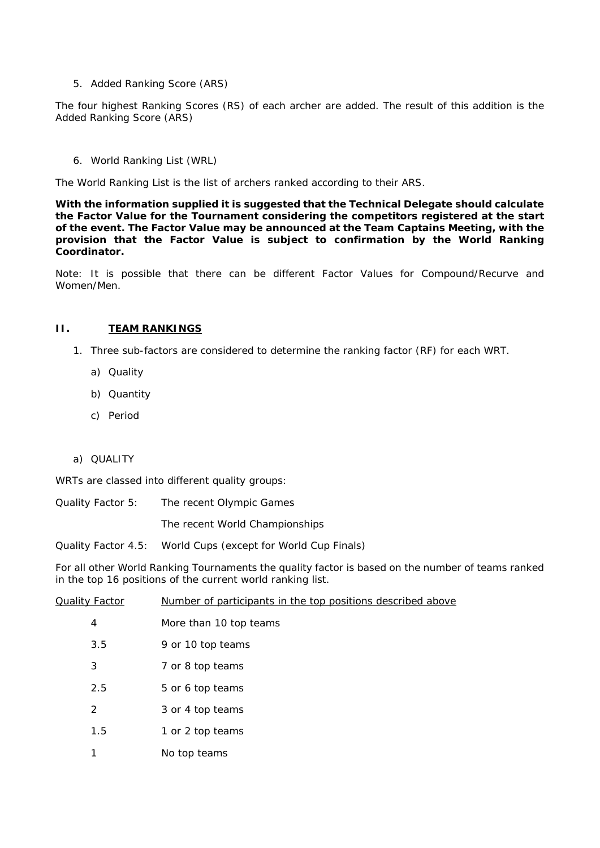5. Added Ranking Score (ARS)

The four highest Ranking Scores (RS) of each archer are added. The result of this addition is the Added Ranking Score (ARS)

6. World Ranking List (WRL)

The World Ranking List is the list of archers ranked according to their ARS.

**With the information supplied it is suggested that the Technical Delegate should calculate the Factor Value for the Tournament considering the competitors registered at the start of the event. The Factor Value may be announced at the Team Captains Meeting, with the provision that the Factor Value is subject to confirmation by the World Ranking Coordinator.** 

Note: It is possible that there can be different Factor Values for Compound/Recurve and Women/Men.

#### **II. TEAM RANKINGS**

- 1. Three sub-factors are considered to determine the ranking factor (RF) for each WRT.
	- a) Quality
	- b) Quantity
	- c) Period

### a) QUALITY

WRTs are classed into different quality groups:

Quality Factor 5: The recent Olympic Games

The recent World Championships

Quality Factor 4.5: World Cups (except for World Cup Finals)

For all other World Ranking Tournaments the quality factor is based on the number of teams ranked in the top 16 positions of the current world ranking list.

| <b>Quality Factor</b> |     | Number of participants in the top positions described above |
|-----------------------|-----|-------------------------------------------------------------|
| 4                     |     | More than 10 top teams                                      |
|                       | 3.5 | 9 or 10 top teams                                           |
| 3                     |     | 7 or 8 top teams                                            |
|                       | 2.5 | 5 or 6 top teams                                            |
| 2                     |     | 3 or 4 top teams                                            |
|                       | 1.5 | 1 or 2 top teams                                            |
| 1                     |     | No top teams                                                |
|                       |     |                                                             |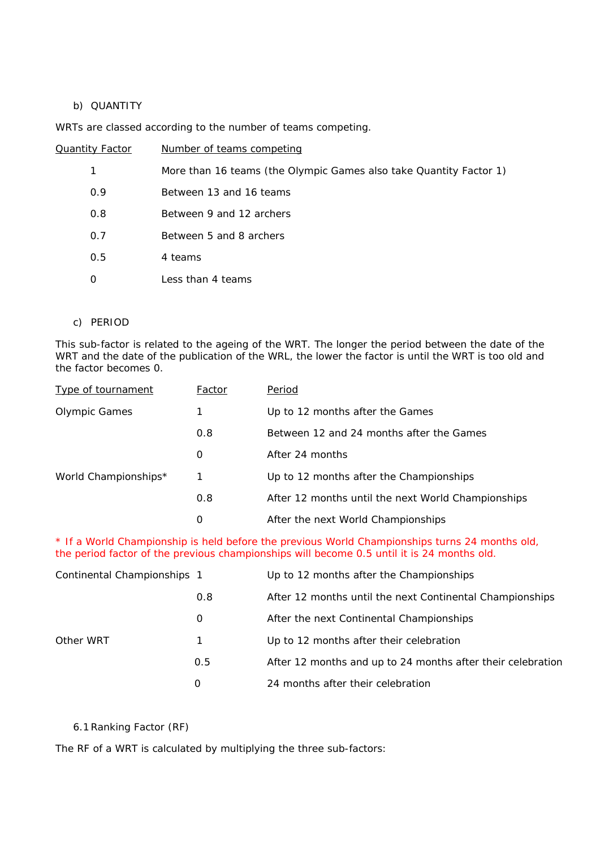## b) QUANTITY

WRTs are classed according to the number of teams competing.

| Quantity Factor | Number of teams competing                                          |
|-----------------|--------------------------------------------------------------------|
| 1               | More than 16 teams (the Olympic Games also take Quantity Factor 1) |
| 0.9             | Between 13 and 16 teams                                            |
| 0.8             | Between 9 and 12 archers                                           |
| 0.7             | Between 5 and 8 archers                                            |
| 0.5             | 4 teams                                                            |
| O               | Less than 4 teams                                                  |

#### c) PERIOD

This sub-factor is related to the ageing of the WRT. The longer the period between the date of the WRT and the date of the publication of the WRL, the lower the factor is until the WRT is too old and the factor becomes 0.

| <b>Type of tournament</b> | Factor | Period                                             |
|---------------------------|--------|----------------------------------------------------|
| Olympic Games             | 1      | Up to 12 months after the Games                    |
|                           | 0.8    | Between 12 and 24 months after the Games           |
|                           | 0      | After 24 months                                    |
| World Championships*      | 1      | Up to 12 months after the Championships            |
|                           | 0.8    | After 12 months until the next World Championships |
|                           | 0      | After the next World Championships                 |

\* If a World Championship is held before the previous World Championships turns 24 months old, the period factor of the previous championships will become 0.5 until it is 24 months old.

| Continental Championships 1 |     | Up to 12 months after the Championships                     |
|-----------------------------|-----|-------------------------------------------------------------|
|                             | 0.8 | After 12 months until the next Continental Championships    |
|                             | 0   | After the next Continental Championships                    |
| Other WRT                   | 1   | Up to 12 months after their celebration                     |
|                             | 0.5 | After 12 months and up to 24 months after their celebration |
|                             | 0   | 24 months after their celebration                           |

6.1Ranking Factor (RF)

The RF of a WRT is calculated by multiplying the three sub-factors: